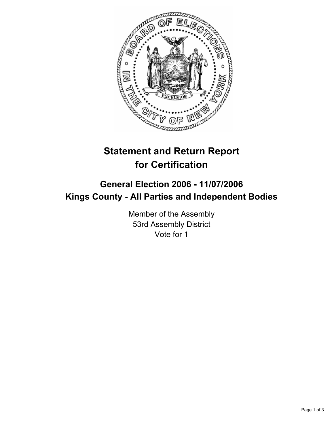

## **Statement and Return Report for Certification**

## **General Election 2006 - 11/07/2006 Kings County - All Parties and Independent Bodies**

Member of the Assembly 53rd Assembly District Vote for 1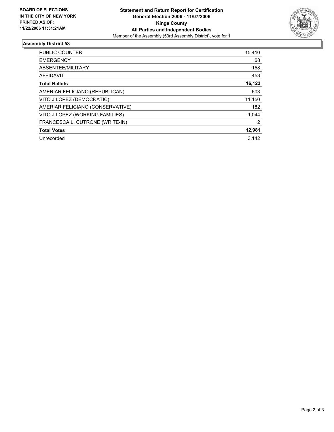

## **Assembly District 53**

| <b>PUBLIC COUNTER</b>            | 15,410 |
|----------------------------------|--------|
| <b>EMERGENCY</b>                 | 68     |
| ABSENTEE/MILITARY                | 158    |
| AFFIDAVIT                        | 453    |
| <b>Total Ballots</b>             | 16,123 |
| AMERIAR FELICIANO (REPUBLICAN)   | 603    |
| VITO J LOPEZ (DEMOCRATIC)        | 11,150 |
| AMERIAR FELICIANO (CONSERVATIVE) | 182    |
| VITO J LOPEZ (WORKING FAMILIES)  | 1,044  |
| FRANCESCA L. CUTRONE (WRITE-IN)  | 2      |
| <b>Total Votes</b>               | 12,981 |
| Unrecorded                       | 3.142  |